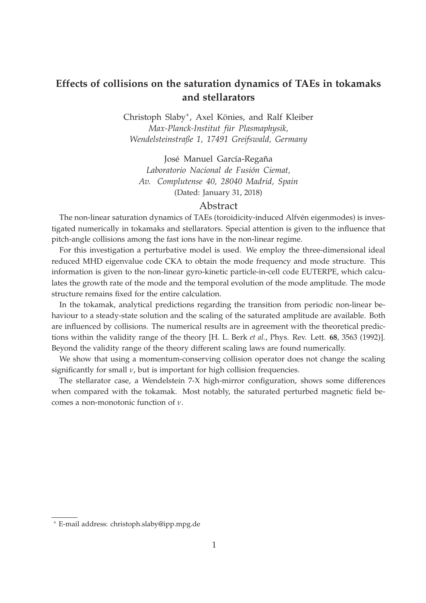# **Effects of collisions on the saturation dynamics of TAEs in tokamaks and stellarators**

Christoph Slaby∗ , Axel Könies, and Ralf Kleiber *Max-Planck-Institut für Plasmaphysik, Wendelsteinstraße 1, 17491 Greifswald, Germany*

José Manuel García-Regaña

*Laboratorio Nacional de Fusión Ciemat, Av. Complutense 40, 28040 Madrid, Spain* (Dated: January 31, 2018)

# Abstract

The non-linear saturation dynamics of TAEs (toroidicity-induced Alfvén eigenmodes) is investigated numerically in tokamaks and stellarators. Special attention is given to the influence that pitch-angle collisions among the fast ions have in the non-linear regime.

For this investigation a perturbative model is used. We employ the three-dimensional ideal reduced MHD eigenvalue code CKA to obtain the mode frequency and mode structure. This information is given to the non-linear gyro-kinetic particle-in-cell code EUTERPE, which calculates the growth rate of the mode and the temporal evolution of the mode amplitude. The mode structure remains fixed for the entire calculation.

In the tokamak, analytical predictions regarding the transition from periodic non-linear behaviour to a steady-state solution and the scaling of the saturated amplitude are available. Both are influenced by collisions. The numerical results are in agreement with the theoretical predictions within the validity range of the theory [H. L. Berk *et al.*, Phys. Rev. Lett. **68**, 3563 (1992)]. Beyond the validity range of the theory different scaling laws are found numerically.

We show that using a momentum-conserving collision operator does not change the scaling significantly for small  $\nu$ , but is important for high collision frequencies.

The stellarator case, a Wendelstein 7-X high-mirror configuration, shows some differences when compared with the tokamak. Most notably, the saturated perturbed magnetic field becomes a non-monotonic function of *ν*.

<sup>∗</sup> E-mail address: christoph.slaby@ipp.mpg.de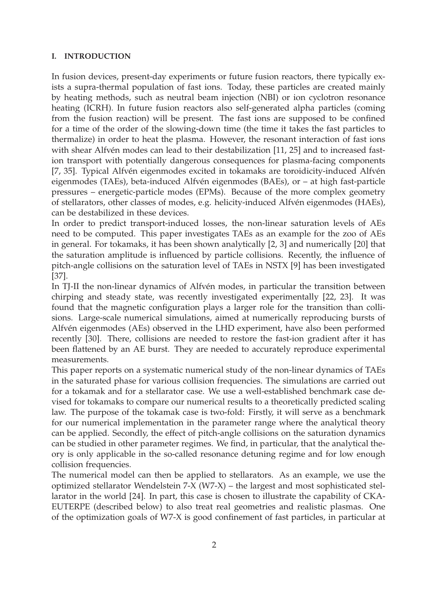### **I. INTRODUCTION**

In fusion devices, present-day experiments or future fusion reactors, there typically exists a supra-thermal population of fast ions. Today, these particles are created mainly by heating methods, such as neutral beam injection (NBI) or ion cyclotron resonance heating (ICRH). In future fusion reactors also self-generated alpha particles (coming from the fusion reaction) will be present. The fast ions are supposed to be confined for a time of the order of the slowing-down time (the time it takes the fast particles to thermalize) in order to heat the plasma. However, the resonant interaction of fast ions with shear Alfvén modes can lead to their destabilization [11, 25] and to increased fastion transport with potentially dangerous consequences for plasma-facing components [7, 35]. Typical Alfvén eigenmodes excited in tokamaks are toroidicity-induced Alfvén eigenmodes (TAEs), beta-induced Alfvén eigenmodes (BAEs), or – at high fast-particle pressures – energetic-particle modes (EPMs). Because of the more complex geometry of stellarators, other classes of modes, e.g. helicity-induced Alfvén eigenmodes (HAEs), can be destabilized in these devices.

In order to predict transport-induced losses, the non-linear saturation levels of AEs need to be computed. This paper investigates TAEs as an example for the zoo of AEs in general. For tokamaks, it has been shown analytically [2, 3] and numerically [20] that the saturation amplitude is influenced by particle collisions. Recently, the influence of pitch-angle collisions on the saturation level of TAEs in NSTX [9] has been investigated [37].

In TJ-II the non-linear dynamics of Alfvén modes, in particular the transition between chirping and steady state, was recently investigated experimentally [22, 23]. It was found that the magnetic configuration plays a larger role for the transition than collisions. Large-scale numerical simulations, aimed at numerically reproducing bursts of Alfvén eigenmodes (AEs) observed in the LHD experiment, have also been performed recently [30]. There, collisions are needed to restore the fast-ion gradient after it has been flattened by an AE burst. They are needed to accurately reproduce experimental measurements.

This paper reports on a systematic numerical study of the non-linear dynamics of TAEs in the saturated phase for various collision frequencies. The simulations are carried out for a tokamak and for a stellarator case. We use a well-established benchmark case devised for tokamaks to compare our numerical results to a theoretically predicted scaling law. The purpose of the tokamak case is two-fold: Firstly, it will serve as a benchmark for our numerical implementation in the parameter range where the analytical theory can be applied. Secondly, the effect of pitch-angle collisions on the saturation dynamics can be studied in other parameter regimes. We find, in particular, that the analytical theory is only applicable in the so-called resonance detuning regime and for low enough collision frequencies.

The numerical model can then be applied to stellarators. As an example, we use the optimized stellarator Wendelstein 7-X (W7-X) – the largest and most sophisticated stellarator in the world [24]. In part, this case is chosen to illustrate the capability of CKA-EUTERPE (described below) to also treat real geometries and realistic plasmas. One of the optimization goals of W7-X is good confinement of fast particles, in particular at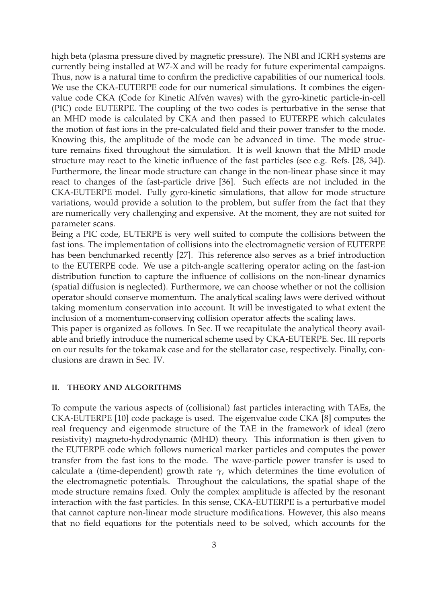high beta (plasma pressure dived by magnetic pressure). The NBI and ICRH systems are currently being installed at W7-X and will be ready for future experimental campaigns. Thus, now is a natural time to confirm the predictive capabilities of our numerical tools. We use the CKA-EUTERPE code for our numerical simulations. It combines the eigenvalue code CKA (Code for Kinetic Alfvén waves) with the gyro-kinetic particle-in-cell (PIC) code EUTERPE. The coupling of the two codes is perturbative in the sense that an MHD mode is calculated by CKA and then passed to EUTERPE which calculates the motion of fast ions in the pre-calculated field and their power transfer to the mode. Knowing this, the amplitude of the mode can be advanced in time. The mode structure remains fixed throughout the simulation. It is well known that the MHD mode structure may react to the kinetic influence of the fast particles (see e.g. Refs. [28, 34]). Furthermore, the linear mode structure can change in the non-linear phase since it may react to changes of the fast-particle drive [36]. Such effects are not included in the CKA-EUTERPE model. Fully gyro-kinetic simulations, that allow for mode structure variations, would provide a solution to the problem, but suffer from the fact that they are numerically very challenging and expensive. At the moment, they are not suited for parameter scans.

Being a PIC code, EUTERPE is very well suited to compute the collisions between the fast ions. The implementation of collisions into the electromagnetic version of EUTERPE has been benchmarked recently [27]. This reference also serves as a brief introduction to the EUTERPE code. We use a pitch-angle scattering operator acting on the fast-ion distribution function to capture the influence of collisions on the non-linear dynamics (spatial diffusion is neglected). Furthermore, we can choose whether or not the collision operator should conserve momentum. The analytical scaling laws were derived without taking momentum conservation into account. It will be investigated to what extent the inclusion of a momentum-conserving collision operator affects the scaling laws.

This paper is organized as follows. In Sec. II we recapitulate the analytical theory available and briefly introduce the numerical scheme used by CKA-EUTERPE. Sec. III reports on our results for the tokamak case and for the stellarator case, respectively. Finally, conclusions are drawn in Sec. IV.

# **II. THEORY AND ALGORITHMS**

To compute the various aspects of (collisional) fast particles interacting with TAEs, the CKA-EUTERPE [10] code package is used. The eigenvalue code CKA [8] computes the real frequency and eigenmode structure of the TAE in the framework of ideal (zero resistivity) magneto-hydrodynamic (MHD) theory. This information is then given to the EUTERPE code which follows numerical marker particles and computes the power transfer from the fast ions to the mode. The wave-particle power transfer is used to calculate a (time-dependent) growth rate  $\gamma$ , which determines the time evolution of the electromagnetic potentials. Throughout the calculations, the spatial shape of the mode structure remains fixed. Only the complex amplitude is affected by the resonant interaction with the fast particles. In this sense, CKA-EUTERPE is a perturbative model that cannot capture non-linear mode structure modifications. However, this also means that no field equations for the potentials need to be solved, which accounts for the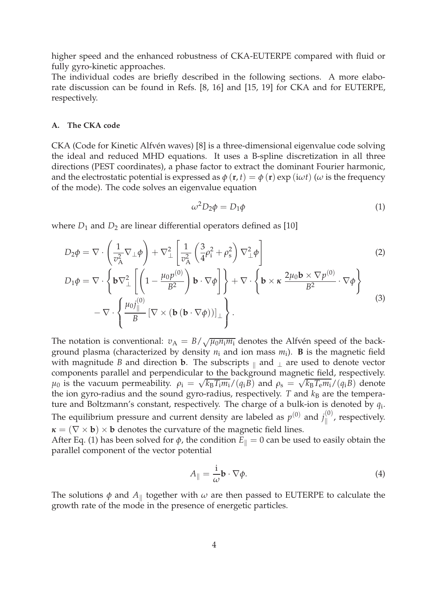higher speed and the enhanced robustness of CKA-EUTERPE compared with fluid or fully gyro-kinetic approaches.

The individual codes are briefly described in the following sections. A more elaborate discussion can be found in Refs. [8, 16] and [15, 19] for CKA and for EUTERPE, respectively.

# **A. The CKA code**

CKA (Code for Kinetic Alfvén waves) [8] is a three-dimensional eigenvalue code solving the ideal and reduced MHD equations. It uses a B-spline discretization in all three directions (PEST coordinates), a phase factor to extract the dominant Fourier harmonic, and the electrostatic potential is expressed as  $\phi(\mathbf{r}, t) = \phi(\mathbf{r}) \exp(i\omega t)$  ( $\omega$  is the frequency of the mode). The code solves an eigenvalue equation

$$
\omega^2 D_2 \phi = D_1 \phi \tag{1}
$$

where  $D_1$  and  $D_2$  are linear differential operators defined as [10]

$$
D_2 \phi = \nabla \cdot \left(\frac{1}{v_A^2} \nabla_\perp \phi\right) + \nabla_\perp^2 \left[\frac{1}{v_A^2} \left(\frac{3}{4} \rho_i^2 + \rho_s^2\right) \nabla_\perp^2 \phi\right]
$$
\n
$$
\left(\begin{array}{cc} \nabla \left(\frac{1}{v_A^2} \left(\frac{3}{4} \rho_i^2 + \rho_s^2\right) - \frac{1}{2} \rho_s^2\right) & \nabla_\perp^2 \phi \\ \nabla \left(\frac{1}{v_A^2} \left(\frac{3}{4} \rho_i^2 + \rho_s^2\right) - \frac{1}{2} \rho_s^2\right) & \nabla_\perp^2 \phi \nabla_\perp^2 \phi \nabla_\perp^2 \phi \nabla_\perp^2 \phi \nabla_\perp^2 \phi \nabla_\perp^2 \phi \nabla_\perp^2 \phi \nabla_\perp^2 \phi \nabla_\perp^2 \phi \nabla_\perp^2 \phi \nabla_\perp^2 \phi \nabla_\perp^2 \phi \nabla_\perp^2 \phi \nabla_\perp^2 \phi \nabla_\perp^2 \phi \nabla_\perp^2 \phi \nabla_\perp^2 \phi \nabla_\perp^2 \phi \nabla_\perp^2 \phi \nabla_\perp^2 \phi \nabla_\perp^2 \phi \nabla_\perp^2 \phi \nabla_\perp^2 \phi \nabla_\perp^2 \phi \nabla_\perp^2 \phi \nabla_\perp^2 \phi \nabla_\perp^2 \phi \nabla_\perp^2 \phi \nabla_\perp^2 \phi \nabla_\perp^2 \phi \nabla_\perp^2 \phi \nabla_\perp^2 \phi \nabla_\perp^2 \phi \nabla_\perp^2 \phi \nabla_\perp^2 \phi \nabla_\perp^2 \phi \nabla_\perp^2 \phi \nabla_\perp^2 \phi \nabla_\perp^2 \phi \nabla_\perp^2 \phi \nabla_\perp^2 \phi \nabla_\perp^2 \phi \nabla_\perp^2 \phi \nabla_\perp^2 \phi \nabla_\perp^2 \phi \nabla_\perp^2 \phi \nabla_\perp^2 \phi \nabla_\per
$$

$$
D_1 \phi = \nabla \cdot \left\{ \mathbf{b} \nabla_{\perp}^2 \left[ \left( 1 - \frac{\mu_0 p^{(0)}}{B^2} \right) \mathbf{b} \cdot \nabla \phi \right] \right\} + \nabla \cdot \left\{ \mathbf{b} \times \kappa \frac{2\mu_0 \mathbf{b} \times \nabla p^{(0)}}{B^2} \cdot \nabla \phi \right\}
$$
  
- 
$$
\nabla \cdot \left\{ \frac{\mu_0 j_{\parallel}^{(0)}}{B} \left[ \nabla \times (\mathbf{b} (\mathbf{b} \cdot \nabla \phi)) \right]_{\perp} \right\}.
$$
 (3)

The notation is conventional:  $v_A = B/\sqrt{\mu_0 n_i m_i}$  denotes the Alfvén speed of the background plasma (characterized by density *n*<sup>i</sup> and ion mass *m*<sup>i</sup> ). **B** is the magnetic field with magnitude *B* and direction **b**. The subscripts  $\parallel$  and  $\perp$  are used to denote vector components parallel and perpendicular to the background magnetic field, respectively. *μ*<sup>0</sup> is the vacuum permeability.  $ρ_i = \sqrt{k_B T_i m_i}/(q_i B)$  and  $ρ_s = \sqrt{k_B T_e m_i}/(q_i B)$  denote the ion gyro-radius and the sound gyro-radius, respectively. *T* and  $k<sub>B</sub>$  are the temperature and Boltzmann's constant, respectively. The charge of a bulk-ion is denoted by *q*<sup>i</sup> . The equilibrium pressure and current density are labeled as  $p^{(0)}$  and  $j^{(0)}_{\parallel}$  $\int_{\parallel}^{(0)}$ , respectively.  $\kappa = (\nabla \times \mathbf{b}) \times \mathbf{b}$  denotes the curvature of the magnetic field lines.

After Eq. (1) has been solved for  $\phi$ , the condition  $E_{\parallel} = 0$  can be used to easily obtain the parallel component of the vector potential

$$
A_{\parallel} = \frac{\mathrm{i}}{\omega} \mathbf{b} \cdot \nabla \phi. \tag{4}
$$

The solutions  $\phi$  and  $A_{\parallel}$  together with  $\omega$  are then passed to EUTERPE to calculate the growth rate of the mode in the presence of energetic particles.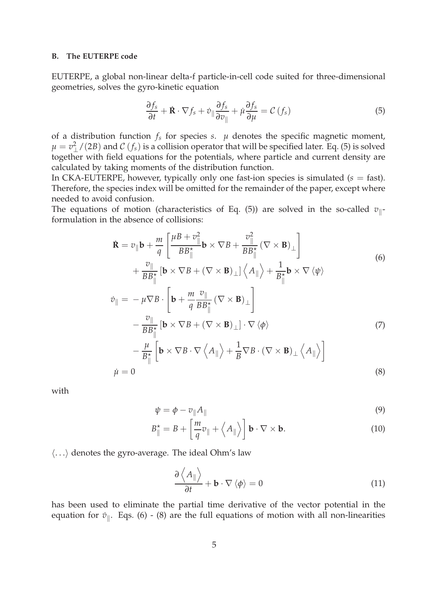#### **B. The EUTERPE code**

EUTERPE, a global non-linear delta-f particle-in-cell code suited for three-dimensional geometries, solves the gyro-kinetic equation

$$
\frac{\partial f_s}{\partial t} + \dot{\mathbf{R}} \cdot \nabla f_s + \dot{v}_{\parallel} \frac{\partial f_s}{\partial v_{\parallel}} + \dot{\mu} \frac{\partial f_s}{\partial \mu} = \mathcal{C} \left( f_s \right) \tag{5}
$$

of a distribution function  $f_s$  for species  $s$ .  $\mu$  denotes the specific magnetic moment,  $\mu = v_\perp^2/(2B)$  and  $\mathcal{C}(f_s)$  is a collision operator that will be specified later. Eq. (5) is solved  $\frac{1}{2}$ ,  $\frac{1}{2}$ ,  $\frac{1}{2}$ ,  $\frac{1}{2}$ ,  $\frac{1}{2}$ ,  $\frac{1}{2}$ ,  $\frac{1}{2}$ ,  $\frac{1}{2}$ ,  $\frac{1}{2}$ ,  $\frac{1}{2}$ ,  $\frac{1}{2}$ ,  $\frac{1}{2}$ ,  $\frac{1}{2}$ ,  $\frac{1}{2}$ ,  $\frac{1}{2}$ ,  $\frac{1}{2}$ ,  $\frac{1}{2}$ ,  $\frac{1}{2}$ ,  $\frac{1}{2}$ ,  $\frac{1}{2}$ , calculated by taking moments of the distribution function.

In CKA-EUTERPE, however, typically only one fast-ion species is simulated  $(s = fast)$ . Therefore, the species index will be omitted for the remainder of the paper, except where needed to avoid confusion.

The equations of motion (characteristics of Eq.  $(5)$ ) are solved in the so-called  $v_{\parallel}$ formulation in the absence of collisions:

$$
\dot{\mathbf{R}} = v_{\parallel} \mathbf{b} + \frac{m}{q} \left[ \frac{\mu B + v_{\parallel}^2}{B B_{\parallel}^*} \mathbf{b} \times \nabla B + \frac{v_{\parallel}^2}{B B_{\parallel}^*} \left( \nabla \times \mathbf{B} \right)_{\perp} \right]
$$
\n
$$
+ \frac{v_{\parallel}}{B B_{\parallel}^*} \left[ \mathbf{b} \times \nabla B + \left( \nabla \times \mathbf{B} \right)_{\perp} \right] \left\langle A_{\parallel} \right\rangle + \frac{1}{B_{\parallel}^*} \mathbf{b} \times \nabla \left\langle \psi \right\rangle
$$
\n
$$
\dot{v}_{\parallel} = -\mu \nabla B \cdot \left[ \mathbf{b} + \frac{m}{q} \frac{v_{\parallel}}{B B_{\parallel}^*} \left( \nabla \times \mathbf{B} \right)_{\perp} \right]
$$
\n
$$
- \frac{v_{\parallel}}{B B_{\parallel}^*} \left[ \mathbf{b} \times \nabla B + \left( \nabla \times \mathbf{B} \right)_{\perp} \right] \cdot \nabla \left\langle \phi \right\rangle
$$
\n
$$
- \frac{\mu}{B_{\parallel}^*} \left[ \mathbf{b} \times \nabla B \cdot \nabla \left\langle A_{\parallel} \right\rangle + \frac{1}{B} \nabla B \cdot \left( \nabla \times \mathbf{B} \right)_{\perp} \left\langle A_{\parallel} \right\rangle \right]
$$
\n
$$
\dot{\mu} = 0
$$
\n(8)

with

$$
\psi = \phi - v_{\parallel} A_{\parallel} \tag{9}
$$

$$
B_{\parallel}^{\star} = B + \left[\frac{m}{q}v_{\parallel} + \left\langle A_{\parallel} \right\rangle\right] \mathbf{b} \cdot \nabla \times \mathbf{b}.
$$
 (10)

 $\langle \ldots \rangle$  denotes the gyro-average. The ideal Ohm's law

$$
\frac{\partial \left\langle A_{\parallel} \right\rangle}{\partial t} + \mathbf{b} \cdot \nabla \left\langle \phi \right\rangle = 0 \tag{11}
$$

has been used to eliminate the partial time derivative of the vector potential in the equation for  $\dot{v}_{\parallel}$ . Eqs. (6) - (8) are the full equations of motion with all non-linearities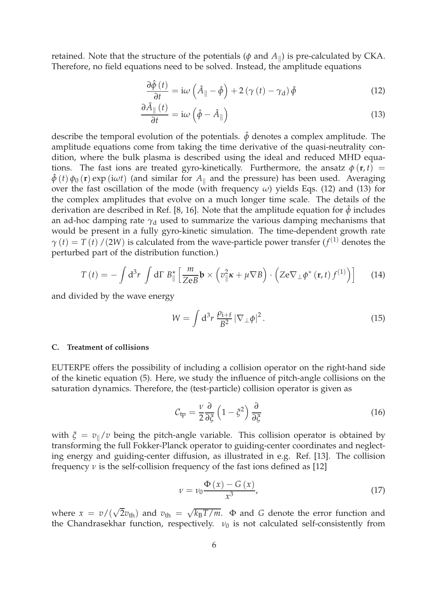retained. Note that the structure of the potentials ( $\phi$  and  $A_{\parallel}$ ) is pre-calculated by CKA. Therefore, no field equations need to be solved. Instead, the amplitude equations

$$
\frac{\partial \hat{\phi}(t)}{\partial t} = i\omega \left(\hat{A}_{\parallel} - \hat{\phi}\right) + 2\left(\gamma(t) - \gamma_d\right)\hat{\phi}
$$
\n(12)

$$
\frac{\partial \hat{A}_{\parallel}(t)}{\partial t} = \mathrm{i}\omega\left(\hat{\phi} - \hat{A}_{\parallel}\right) \tag{13}
$$

describe the temporal evolution of the potentials.  $\hat{\phi}$  denotes a complex amplitude. The amplitude equations come from taking the time derivative of the quasi-neutrality condition, where the bulk plasma is described using the ideal and reduced MHD equations. The fast ions are treated gyro-kinetically. Furthermore, the ansatz  $\phi(\mathbf{r}, t)$  =  $\hat{\phi}$  (*t*)  $\phi_0$  (**r**) exp (i $\omega t$ ) (and similar for  $A_{\parallel}$  and the pressure) has been used. Averaging over the fast oscillation of the mode (with frequency *ω*) yields Eqs. (12) and (13) for the complex amplitudes that evolve on a much longer time scale. The details of the derivation are described in Ref. [8, 16]. Note that the amplitude equation for  $\hat{\phi}$  includes an ad-hoc damping rate  $\gamma_d$  used to summarize the various damping mechanisms that would be present in a fully gyro-kinetic simulation. The time-dependent growth rate  $\gamma(t) = T(t)$  /(2*W*) is calculated from the wave-particle power transfer ( $f^{(1)}$  denotes the perturbed part of the distribution function.)

$$
T(t) = -\int d^3r \int d\Gamma B_{\parallel}^* \left[ \frac{m}{\text{Ze}B} \mathbf{b} \times \left( v_{\parallel}^2 \kappa + \mu \nabla B \right) \cdot \left( \text{Ze} \nabla_{\perp} \phi^* \left( \mathbf{r}, t \right) f^{(1)} \right) \right] \tag{14}
$$

and divided by the wave energy

$$
W = \int d^3r \, \frac{\rho_{i+1}}{B^2} \left| \nabla_\perp \phi \right|^2. \tag{15}
$$

#### **C. Treatment of collisions**

EUTERPE offers the possibility of including a collision operator on the right-hand side of the kinetic equation (5). Here, we study the influence of pitch-angle collisions on the saturation dynamics. Therefore, the (test-particle) collision operator is given as

$$
\mathcal{C}_{\rm tp} = \frac{\nu}{2} \frac{\partial}{\partial \xi} \left( 1 - \xi^2 \right) \frac{\partial}{\partial \xi} \tag{16}
$$

with  $\xi = v_{\parallel}/v$  being the pitch-angle variable. This collision operator is obtained by transforming the full Fokker-Planck operator to guiding-center coordinates and neglecting energy and guiding-center diffusion, as illustrated in e.g. Ref. [13]. The collision frequency  $\nu$  is the self-collision frequency of the fast ions defined as [12]

$$
\nu = \nu_0 \frac{\Phi\left(x\right) - G\left(x\right)}{x^3},\tag{17}
$$

where  $x = v/(\sqrt{2}v_{\text{th}})$  and  $v_{\text{th}} = \sqrt{k_{\text{B}}T/m}$ .  $\Phi$  and *G* denote the error function and the Chandrasekhar function, respectively.  $v_0$  is not calculated self-consistently from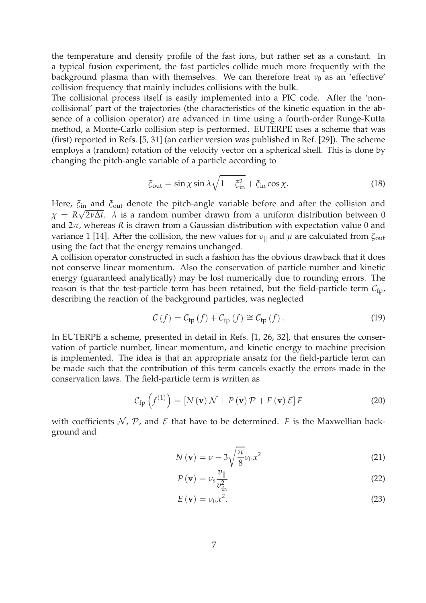the temperature and density profile of the fast ions, but rather set as a constant. In a typical fusion experiment, the fast particles collide much more frequently with the background plasma than with themselves. We can therefore treat  $\nu_0$  as an 'effective' collision frequency that mainly includes collisions with the bulk.

The collisional process itself is easily implemented into a PIC code. After the 'noncollisional' part of the trajectories (the characteristics of the kinetic equation in the absence of a collision operator) are advanced in time using a fourth-order Runge-Kutta method, a Monte-Carlo collision step is performed. EUTERPE uses a scheme that was (first) reported in Refs. [5, 31] (an earlier version was published in Ref. [29]). The scheme employs a (random) rotation of the velocity vector on a spherical shell. This is done by changing the pitch-angle variable of a particle according to

$$
\xi_{\text{out}} = \sin \chi \sin \lambda \sqrt{1 - \xi_{\text{in}}^2} + \xi_{\text{in}} \cos \chi. \tag{18}
$$

Here, *ξ*in and *ξ*out denote the pitch-angle variable before and after the collision and  $\chi = R\sqrt{2\nu\Delta t}$ .  $\lambda$  is a random number drawn from a uniform distribution between 0 and 2*π*, whereas *R* is drawn from a Gaussian distribution with expectation value 0 and variance 1 [14]. After the collision, the new values for  $v_{\parallel}$  and  $\mu$  are calculated from  $\zeta_{\text{out}}$ using the fact that the energy remains unchanged.

A collision operator constructed in such a fashion has the obvious drawback that it does not conserve linear momentum. Also the conservation of particle number and kinetic energy (guaranteed analytically) may be lost numerically due to rounding errors. The reason is that the test-particle term has been retained, but the field-particle term  $C_{fp}$ , describing the reaction of the background particles, was neglected

$$
\mathcal{C}(f) = \mathcal{C}_{\text{tp}}(f) + \mathcal{C}_{\text{fp}}(f) \cong \mathcal{C}_{\text{tp}}(f). \tag{19}
$$

In EUTERPE a scheme, presented in detail in Refs. [1, 26, 32], that ensures the conservation of particle number, linear momentum, and kinetic energy to machine precision is implemented. The idea is that an appropriate ansatz for the field-particle term can be made such that the contribution of this term cancels exactly the errors made in the conservation laws. The field-particle term is written as

$$
\mathcal{C}_{\text{fp}}\left(f^{(1)}\right) = \left[N\left(\mathbf{v}\right)\mathcal{N} + P\left(\mathbf{v}\right)\mathcal{P} + E\left(\mathbf{v}\right)\mathcal{E}\right]F\tag{20}
$$

with coefficients  $N$ ,  $P$ , and  $E$  that have to be determined. *F* is the Maxwellian background and

$$
N(\mathbf{v}) = \nu - 3\sqrt{\frac{\pi}{8}}\nu_{\rm E}x^2
$$
 (21)

$$
P\left(\mathbf{v}\right) = \nu_{\rm s} \frac{\nu_{\parallel}}{\nu_{\rm th}^2} \tag{22}
$$

$$
E(\mathbf{v}) = \nu_{\rm E} x^2. \tag{23}
$$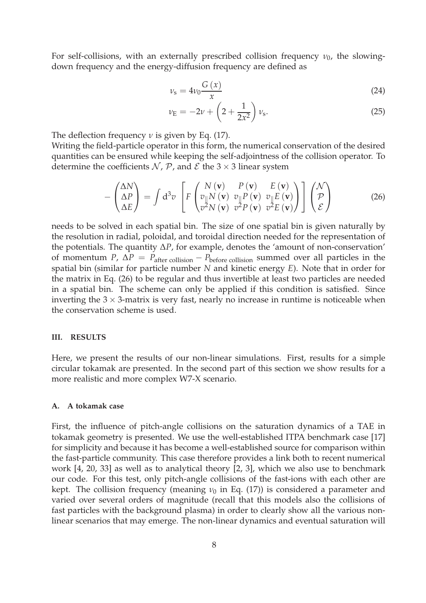For self-collisions, with an externally prescribed collision frequency  $\nu_0$ , the slowingdown frequency and the energy-diffusion frequency are defined as

$$
\nu_{\rm s} = 4\nu_0 \frac{G\left(x\right)}{x} \tag{24}
$$

$$
\nu_{\rm E} = -2\nu + \left(2 + \frac{1}{2x^2}\right)\nu_{\rm s}.\tag{25}
$$

The deflection frequency  $\nu$  is given by Eq. (17).

Writing the field-particle operator in this form, the numerical conservation of the desired quantities can be ensured while keeping the self-adjointness of the collision operator. To determine the coefficients  $N$ ,  $P$ , and  $\mathcal E$  the 3  $\times$  3 linear system

$$
-\begin{pmatrix}\n\Delta N \\
\Delta P \\
\Delta E\n\end{pmatrix} = \int d^3 v \left[ F \begin{pmatrix}\nN(\mathbf{v}) & P(\mathbf{v}) & E(\mathbf{v}) \\
v_{\parallel} N(\mathbf{v}) & v_{\parallel} P(\mathbf{v}) & v_{\parallel} E(\mathbf{v}) \\
v^2 N(\mathbf{v}) & v^2 P(\mathbf{v}) & v^2 E(\mathbf{v})\n\end{pmatrix} \right] \begin{pmatrix}\nN \\
P \\
E\n\end{pmatrix}
$$
(26)

needs to be solved in each spatial bin. The size of one spatial bin is given naturally by the resolution in radial, poloidal, and toroidal direction needed for the representation of the potentials. The quantity ∆*P*, for example, denotes the 'amount of non-conservation' of momentum *P*,  $\Delta P = P_{\text{after collision}} - P_{\text{before collision}}$  summed over all particles in the spatial bin (similar for particle number *N* and kinetic energy *E*). Note that in order for the matrix in Eq. (26) to be regular and thus invertible at least two particles are needed in a spatial bin. The scheme can only be applied if this condition is satisfied. Since inverting the  $3 \times 3$ -matrix is very fast, nearly no increase in runtime is noticeable when the conservation scheme is used.

#### **III. RESULTS**

Here, we present the results of our non-linear simulations. First, results for a simple circular tokamak are presented. In the second part of this section we show results for a more realistic and more complex W7-X scenario.

# **A. A tokamak case**

First, the influence of pitch-angle collisions on the saturation dynamics of a TAE in tokamak geometry is presented. We use the well-established ITPA benchmark case [17] for simplicity and because it has become a well-established source for comparison within the fast-particle community. This case therefore provides a link both to recent numerical work [4, 20, 33] as well as to analytical theory [2, 3], which we also use to benchmark our code. For this test, only pitch-angle collisions of the fast-ions with each other are kept. The collision frequency (meaning  $\nu_0$  in Eq. (17)) is considered a parameter and varied over several orders of magnitude (recall that this models also the collisions of fast particles with the background plasma) in order to clearly show all the various nonlinear scenarios that may emerge. The non-linear dynamics and eventual saturation will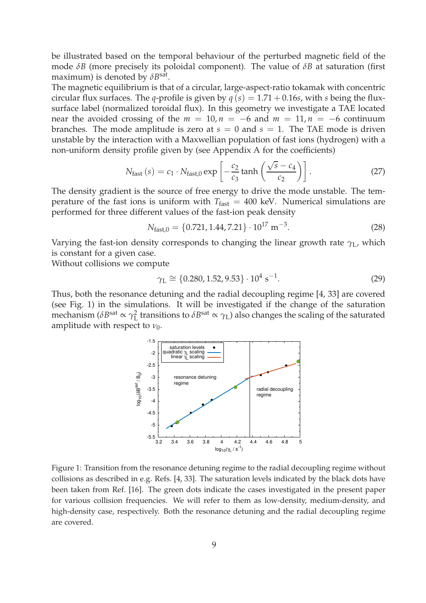be illustrated based on the temporal behaviour of the perturbed magnetic field of the mode  $\delta B$  (more precisely its poloidal component). The value of  $\delta B$  at saturation (first maximum) is denoted by  $\delta B^{\text{sat}}$ .

The magnetic equilibrium is that of a circular, large-aspect-ratio tokamak with concentric circular flux surfaces. The *q*-profile is given by  $q(s) = 1.71 + 0.16s$ , with *s* being the fluxsurface label (normalized toroidal flux). In this geometry we investigate a TAE located near the avoided crossing of the  $m = 10$ ,  $n = -6$  and  $m = 11$ ,  $n = -6$  continuum branches. The mode amplitude is zero at  $s = 0$  and  $s = 1$ . The TAE mode is driven unstable by the interaction with a Maxwellian population of fast ions (hydrogen) with a non-uniform density profile given by (see Appendix A for the coefficients)

$$
N_{\text{fast}}\left(s\right) = c_1 \cdot N_{\text{fast},0} \exp\left[-\frac{c_2}{c_3} \tanh\left(\frac{\sqrt{s} - c_4}{c_2}\right)\right].\tag{27}
$$

The density gradient is the source of free energy to drive the mode unstable. The temperature of the fast ions is uniform with  $T_{\text{fast}} = 400$  keV. Numerical simulations are performed for three different values of the fast-ion peak density

$$
N_{\text{fast},0} = \{0.721, 1.44, 7.21\} \cdot 10^{17} \, \text{m}^{-3}.
$$

Varying the fast-ion density corresponds to changing the linear growth rate  $\gamma_L$ , which is constant for a given case.

Without collisions we compute

$$
\gamma_{\rm L} \cong \{0.280, 1.52, 9.53\} \cdot 10^4 \,\rm s^{-1}.\tag{29}
$$

Thus, both the resonance detuning and the radial decoupling regime [4, 33] are covered (see Fig. 1) in the simulations. It will be investigated if the change of the saturation mechanism (*δB*<sup>sat</sup> ∝ γ<sup>2</sup>  $L^2$  transitions to  $\delta B^{\rm sat} \propto \gamma_{\rm L}$ ) also changes the scaling of the saturated amplitude with respect to  $v_0$ .



Figure 1: Transition from the resonance detuning regime to the radial decoupling regime without collisions as described in e.g. Refs. [4, 33]. The saturation levels indicated by the black dots have been taken from Ref. [16]. The green dots indicate the cases investigated in the present paper for various collision frequencies. We will refer to them as low-density, medium-density, and high-density case, respectively. Both the resonance detuning and the radial decoupling regime are covered.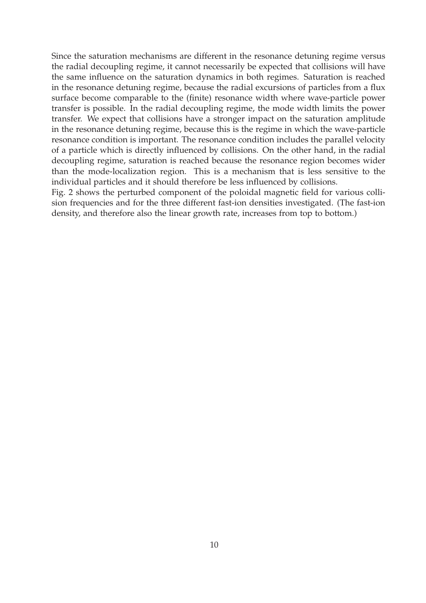Since the saturation mechanisms are different in the resonance detuning regime versus the radial decoupling regime, it cannot necessarily be expected that collisions will have the same influence on the saturation dynamics in both regimes. Saturation is reached in the resonance detuning regime, because the radial excursions of particles from a flux surface become comparable to the (finite) resonance width where wave-particle power transfer is possible. In the radial decoupling regime, the mode width limits the power transfer. We expect that collisions have a stronger impact on the saturation amplitude in the resonance detuning regime, because this is the regime in which the wave-particle resonance condition is important. The resonance condition includes the parallel velocity of a particle which is directly influenced by collisions. On the other hand, in the radial decoupling regime, saturation is reached because the resonance region becomes wider than the mode-localization region. This is a mechanism that is less sensitive to the individual particles and it should therefore be less influenced by collisions.

Fig. 2 shows the perturbed component of the poloidal magnetic field for various collision frequencies and for the three different fast-ion densities investigated. (The fast-ion density, and therefore also the linear growth rate, increases from top to bottom.)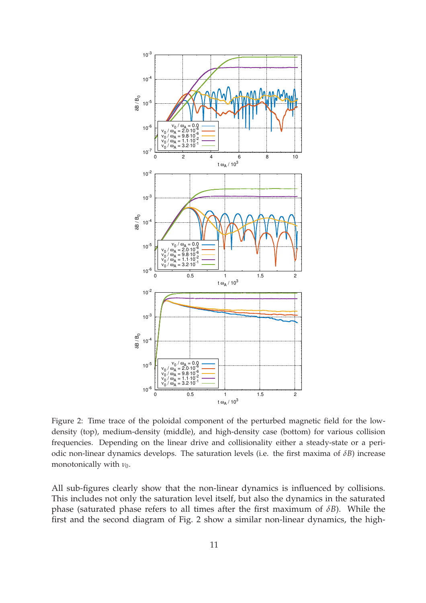

Figure 2: Time trace of the poloidal component of the perturbed magnetic field for the lowdensity (top), medium-density (middle), and high-density case (bottom) for various collision frequencies. Depending on the linear drive and collisionality either a steady-state or a periodic non-linear dynamics develops. The saturation levels (i.e. the first maxima of *δB*) increase monotonically with *ν*<sub>0</sub>.

All sub-figures clearly show that the non-linear dynamics is influenced by collisions. This includes not only the saturation level itself, but also the dynamics in the saturated phase (saturated phase refers to all times after the first maximum of *δB*). While the first and the second diagram of Fig. 2 show a similar non-linear dynamics, the high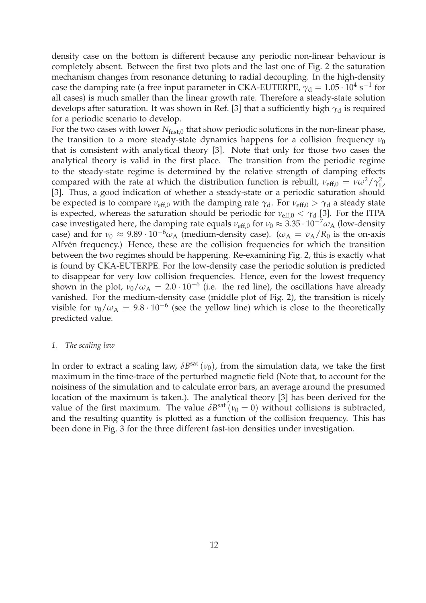density case on the bottom is different because any periodic non-linear behaviour is completely absent. Between the first two plots and the last one of Fig. 2 the saturation mechanism changes from resonance detuning to radial decoupling. In the high-density case the damping rate (a free input parameter in CKA-EUTERPE,  $\gamma_d = 1.05 \cdot 10^4 \text{ s}^{-1}$  for all cases) is much smaller than the linear growth rate. Therefore a steady-state solution develops after saturation. It was shown in Ref. [3] that a sufficiently high  $γ_d$  is required for a periodic scenario to develop.

For the two cases with lower  $N_{\text{fast.0}}$  that show periodic solutions in the non-linear phase, the transition to a more steady-state dynamics happens for a collision frequency  $\nu_0$ that is consistent with analytical theory [3]. Note that only for those two cases the analytical theory is valid in the first place. The transition from the periodic regime to the steady-state regime is determined by the relative strength of damping effects compared with the rate at which the distribution function is rebuilt,  $v_{\text{eff,0}} = v \omega^2 / \gamma_{\text{L}}^2$ 2<br>L, [3]. Thus, a good indication of whether a steady-state or a periodic saturation should be expected is to compare  $\nu_{eff,0}$  with the damping rate  $\gamma_d$ . For  $\nu_{eff,0} > \gamma_d$  a steady state is expected, whereas the saturation should be periodic for  $v_{\text{eff,0}} < \gamma_d$  [3]. For the ITPA case investigated here, the damping rate equals  $v_{\text{eff,0}}$  for  $v_0 \approx 3.35 \cdot 10^{-7} \omega_A$  (low-density case) and for  $v_0 \approx 9.89 \cdot 10^{-6} \omega_A$  (medium-density case). ( $\omega_A = v_A/R_0$  is the on-axis Alfvén frequency.) Hence, these are the collision frequencies for which the transition between the two regimes should be happening. Re-examining Fig. 2, this is exactly what is found by CKA-EUTERPE. For the low-density case the periodic solution is predicted to disappear for very low collision frequencies. Hence, even for the lowest frequency shown in the plot,  $v_0/\omega_A = 2.0 \cdot 10^{-6}$  (i.e. the red line), the oscillations have already vanished. For the medium-density case (middle plot of Fig. 2), the transition is nicely visible for  $v_0/\omega_A = 9.8 \cdot 10^{-6}$  (see the yellow line) which is close to the theoretically predicted value.

#### *1. The scaling law*

In order to extract a scaling law,  $\delta B^{\rm sat} \left( v_{0} \right)$ , from the simulation data, we take the first maximum in the time-trace of the perturbed magnetic field (Note that, to account for the noisiness of the simulation and to calculate error bars, an average around the presumed location of the maximum is taken.). The analytical theory [3] has been derived for the value of the first maximum. The value  $\delta B^{\text{sat}}(\nu_0 = 0)$  without collisions is subtracted, and the resulting quantity is plotted as a function of the collision frequency. This has been done in Fig. 3 for the three different fast-ion densities under investigation.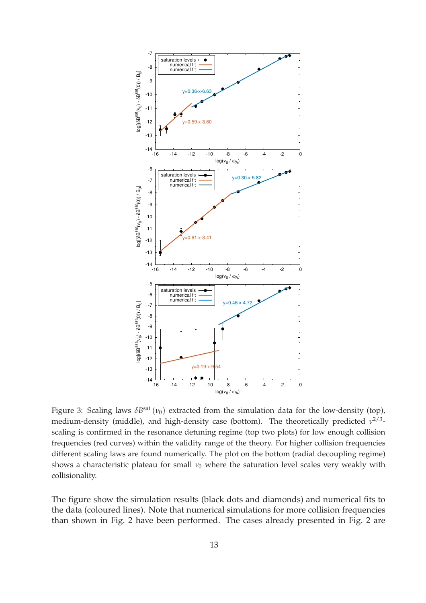

Figure 3: Scaling laws  $\delta B^{\text{sat}}(\nu_0)$  extracted from the simulation data for the low-density (top), medium-density (middle), and high-density case (bottom). The theoretically predicted  $v^{2/3}$ scaling is confirmed in the resonance detuning regime (top two plots) for low enough collision frequencies (red curves) within the validity range of the theory. For higher collision frequencies different scaling laws are found numerically. The plot on the bottom (radial decoupling regime) shows a characteristic plateau for small  $v_0$  where the saturation level scales very weakly with collisionality.

The figure show the simulation results (black dots and diamonds) and numerical fits to the data (coloured lines). Note that numerical simulations for more collision frequencies than shown in Fig. 2 have been performed. The cases already presented in Fig. 2 are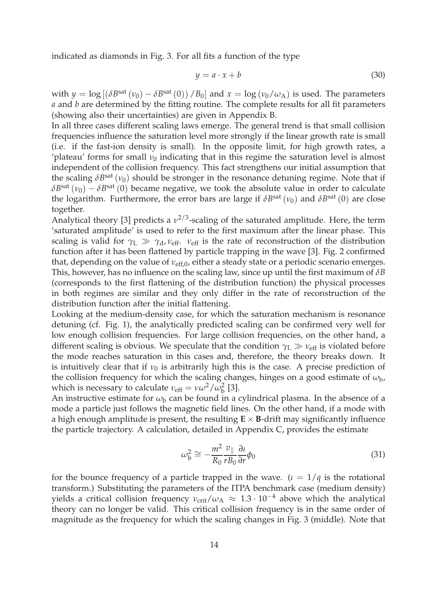indicated as diamonds in Fig. 3. For all fits a function of the type

$$
y = a \cdot x + b \tag{30}
$$

with  $y = \log [(\delta B^{\text{sat}}(v_0) - \delta B^{\text{sat}}(0)) / B_0]$  and  $x = \log (v_0 / \omega_A)$  is used. The parameters *a* and *b* are determined by the fitting routine. The complete results for all fit parameters (showing also their uncertainties) are given in Appendix B.

In all three cases different scaling laws emerge. The general trend is that small collision frequencies influence the saturation level more strongly if the linear growth rate is small (i.e. if the fast-ion density is small). In the opposite limit, for high growth rates, a 'plateau' forms for small  $\nu_0$  indicating that in this regime the saturation level is almost independent of the collision frequency. This fact strengthens our initial assumption that the scaling  $\delta B^{\text{sat}}(\nu_0)$  should be stronger in the resonance detuning regime. Note that if  $\delta B^{\text{sat}}(\nu_0) - \delta B^{\text{sat}}(0)$  became negative, we took the absolute value in order to calculate the logarithm. Furthermore, the error bars are large if  $\delta B^{\text{sat}}(\nu_0)$  and  $\delta B^{\text{sat}}(0)$  are close together.

Analytical theory [3] predicts a  $v^{2/3}$ -scaling of the saturated amplitude. Here, the term 'saturated amplitude' is used to refer to the first maximum after the linear phase. This scaling is valid for  $\gamma_L \gg \gamma_d$ ,  $\nu_{\text{eff}}$ .  $\nu_{\text{eff}}$  is the rate of reconstruction of the distribution function after it has been flattened by particle trapping in the wave [3]. Fig. 2 confirmed that, depending on the value of  $v_{eff,0}$ , either a steady state or a periodic scenario emerges. This, however, has no influence on the scaling law, since up until the first maximum of *δB* (corresponds to the first flattening of the distribution function) the physical processes in both regimes are similar and they only differ in the rate of reconstruction of the distribution function after the initial flattening.

Looking at the medium-density case, for which the saturation mechanism is resonance detuning (cf. Fig. 1), the analytically predicted scaling can be confirmed very well for low enough collision frequencies. For large collision frequencies, on the other hand, a different scaling is obvious. We speculate that the condition  $\gamma_L \gg \nu_{\text{eff}}$  is violated before the mode reaches saturation in this cases and, therefore, the theory breaks down. It is intuitively clear that if  $\nu_0$  is arbitrarily high this is the case. A precise prediction of the collision frequency for which the scaling changes, hinges on a good estimate of  $\omega_{\rm b}$ , which is necessary to calculate  $\nu_{\text{eff}} = \nu \omega^2 / \omega_b^2$  [3].

An instructive estimate for  $\omega_{\rm b}$  can be found in a cylindrical plasma. In the absence of a mode a particle just follows the magnetic field lines. On the other hand, if a mode with a high enough amplitude is present, the resulting  $E \times B$ -drift may significantly influence the particle trajectory. A calculation, detailed in Appendix C, provides the estimate

$$
\omega_{\rm b}^2 \cong -\frac{m^2}{R_0} \frac{v_{\parallel}}{r B_0} \frac{\partial \iota}{\partial r} \phi_0 \tag{31}
$$

for the bounce frequency of a particle trapped in the wave.  $(\iota = 1/q)$  is the rotational transform.) Substituting the parameters of the ITPA benchmark case (medium density) yields a critical collision frequency  $v_{\text{crit}}/\omega_A \approx 1.3 \cdot 10^{-4}$  above which the analytical theory can no longer be valid. This critical collision frequency is in the same order of magnitude as the frequency for which the scaling changes in Fig. 3 (middle). Note that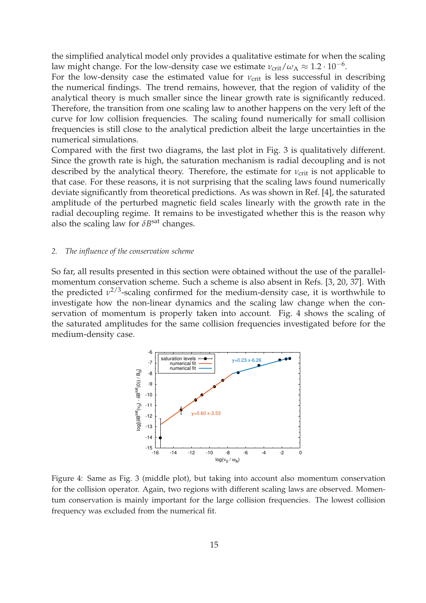the simplified analytical model only provides a qualitative estimate for when the scaling law might change. For the low-density case we estimate  $v_{\text{crit}}/\omega_A \approx 1.2 \cdot 10^{-6}$ .

For the low-density case the estimated value for  $v_{\text{crit}}$  is less successful in describing the numerical findings. The trend remains, however, that the region of validity of the analytical theory is much smaller since the linear growth rate is significantly reduced. Therefore, the transition from one scaling law to another happens on the very left of the curve for low collision frequencies. The scaling found numerically for small collision frequencies is still close to the analytical prediction albeit the large uncertainties in the numerical simulations.

Compared with the first two diagrams, the last plot in Fig. 3 is qualitatively different. Since the growth rate is high, the saturation mechanism is radial decoupling and is not described by the analytical theory. Therefore, the estimate for  $v_{\text{crit}}$  is not applicable to that case. For these reasons, it is not surprising that the scaling laws found numerically deviate significantly from theoretical predictions. As was shown in Ref. [4], the saturated amplitude of the perturbed magnetic field scales linearly with the growth rate in the radial decoupling regime. It remains to be investigated whether this is the reason why also the scaling law for  $\delta B^{\text{sat}}$  changes.

#### *2. The influence of the conservation scheme*

So far, all results presented in this section were obtained without the use of the parallelmomentum conservation scheme. Such a scheme is also absent in Refs. [3, 20, 37]. With the predicted *ν* 2/3-scaling confirmed for the medium-density case, it is worthwhile to investigate how the non-linear dynamics and the scaling law change when the conservation of momentum is properly taken into account. Fig. 4 shows the scaling of the saturated amplitudes for the same collision frequencies investigated before for the medium-density case.



Figure 4: Same as Fig. 3 (middle plot), but taking into account also momentum conservation for the collision operator. Again, two regions with different scaling laws are observed. Momentum conservation is mainly important for the large collision frequencies. The lowest collision frequency was excluded from the numerical fit.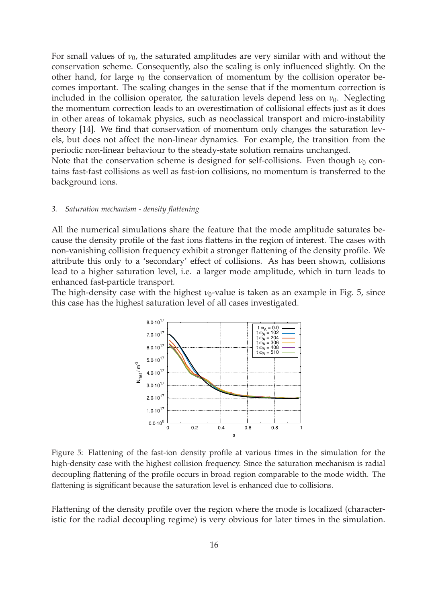For small values of  $\nu_0$ , the saturated amplitudes are very similar with and without the conservation scheme. Consequently, also the scaling is only influenced slightly. On the other hand, for large  $v_0$  the conservation of momentum by the collision operator becomes important. The scaling changes in the sense that if the momentum correction is included in the collision operator, the saturation levels depend less on  $\nu_0$ . Neglecting the momentum correction leads to an overestimation of collisional effects just as it does in other areas of tokamak physics, such as neoclassical transport and micro-instability theory [14]. We find that conservation of momentum only changes the saturation levels, but does not affect the non-linear dynamics. For example, the transition from the periodic non-linear behaviour to the steady-state solution remains unchanged.

Note that the conservation scheme is designed for self-collisions. Even though  $\nu_0$  contains fast-fast collisions as well as fast-ion collisions, no momentum is transferred to the background ions.

# *3. Saturation mechanism - density flattening*

All the numerical simulations share the feature that the mode amplitude saturates because the density profile of the fast ions flattens in the region of interest. The cases with non-vanishing collision frequency exhibit a stronger flattening of the density profile. We attribute this only to a 'secondary' effect of collisions. As has been shown, collisions lead to a higher saturation level, i.e. a larger mode amplitude, which in turn leads to enhanced fast-particle transport.

The high-density case with the highest  $v_0$ -value is taken as an example in Fig. 5, since this case has the highest saturation level of all cases investigated.



Figure 5: Flattening of the fast-ion density profile at various times in the simulation for the high-density case with the highest collision frequency. Since the saturation mechanism is radial decoupling flattening of the profile occurs in broad region comparable to the mode width. The flattening is significant because the saturation level is enhanced due to collisions.

Flattening of the density profile over the region where the mode is localized (characteristic for the radial decoupling regime) is very obvious for later times in the simulation.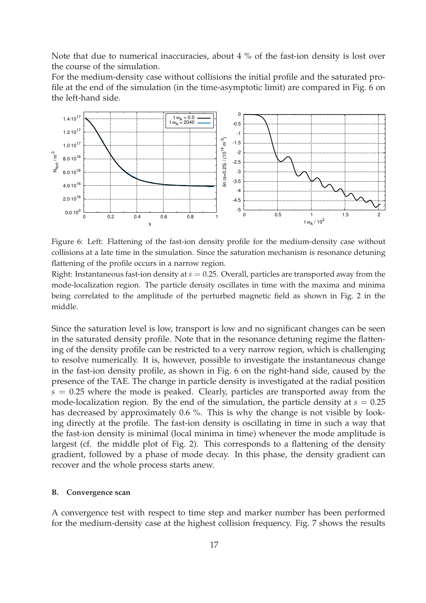Note that due to numerical inaccuracies, about 4 % of the fast-ion density is lost over the course of the simulation.

For the medium-density case without collisions the initial profile and the saturated profile at the end of the simulation (in the time-asymptotic limit) are compared in Fig. 6 on the left-hand side.



Figure 6: Left: Flattening of the fast-ion density profile for the medium-density case without collisions at a late time in the simulation. Since the saturation mechanism is resonance detuning flattening of the profile occurs in a narrow region.

Right: Instantaneous fast-ion density at *s* = 0.25. Overall, particles are transported away from the mode-localization region. The particle density oscillates in time with the maxima and minima being correlated to the amplitude of the perturbed magnetic field as shown in Fig. 2 in the middle.

Since the saturation level is low, transport is low and no significant changes can be seen in the saturated density profile. Note that in the resonance detuning regime the flattening of the density profile can be restricted to a very narrow region, which is challenging to resolve numerically. It is, however, possible to investigate the instantaneous change in the fast-ion density profile, as shown in Fig. 6 on the right-hand side, caused by the presence of the TAE. The change in particle density is investigated at the radial position  $s = 0.25$  where the mode is peaked. Clearly, particles are transported away from the mode-localization region. By the end of the simulation, the particle density at  $s = 0.25$ has decreased by approximately 0.6 %. This is why the change is not visible by looking directly at the profile. The fast-ion density is oscillating in time in such a way that the fast-ion density is minimal (local minima in time) whenever the mode amplitude is largest (cf. the middle plot of Fig. 2). This corresponds to a flattening of the density gradient, followed by a phase of mode decay. In this phase, the density gradient can recover and the whole process starts anew.

# **B. Convergence scan**

A convergence test with respect to time step and marker number has been performed for the medium-density case at the highest collision frequency. Fig. 7 shows the results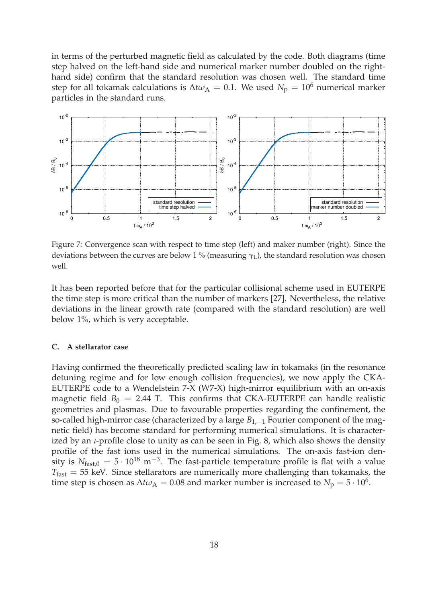in terms of the perturbed magnetic field as calculated by the code. Both diagrams (time step halved on the left-hand side and numerical marker number doubled on the righthand side) confirm that the standard resolution was chosen well. The standard time step for all tokamak calculations is  $\Delta t \omega_A = 0.1$ . We used  $N_p = 10^6$  numerical marker particles in the standard runs.



Figure 7: Convergence scan with respect to time step (left) and maker number (right). Since the deviations between the curves are below 1 % (measuring  $\gamma_L$ ), the standard resolution was chosen well.

It has been reported before that for the particular collisional scheme used in EUTERPE the time step is more critical than the number of markers [27]. Nevertheless, the relative deviations in the linear growth rate (compared with the standard resolution) are well below 1%, which is very acceptable.

### **C. A stellarator case**

Having confirmed the theoretically predicted scaling law in tokamaks (in the resonance detuning regime and for low enough collision frequencies), we now apply the CKA-EUTERPE code to a Wendelstein 7-X (W7-X) high-mirror equilibrium with an on-axis magnetic field  $B_0 = 2.44$  T. This confirms that CKA-EUTERPE can handle realistic geometries and plasmas. Due to favourable properties regarding the confinement, the so-called high-mirror case (characterized by a large *B*<sub>1,−1</sub> Fourier component of the magnetic field) has become standard for performing numerical simulations. It is characterized by an *ι*-profile close to unity as can be seen in Fig. 8, which also shows the density profile of the fast ions used in the numerical simulations. The on-axis fast-ion density is  $N_{\text{fast,0}} = 5 \cdot 10^{18} \text{ m}^{-3}$ . The fast-particle temperature profile is flat with a value  $T_{\text{fast}} = 55$  keV. Since stellarators are numerically more challenging than tokamaks, the time step is chosen as  $\Delta t \omega_A = 0.08$  and marker number is increased to  $N_p = 5 \cdot 10^6$ .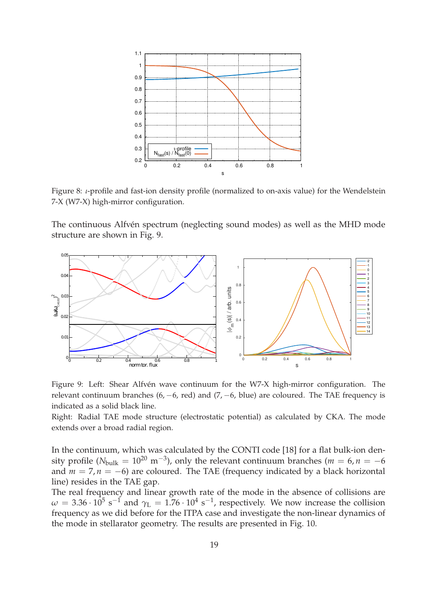

Figure 8: *ι*-profile and fast-ion density profile (normalized to on-axis value) for the Wendelstein 7-X (W7-X) high-mirror configuration.

The continuous Alfvén spectrum (neglecting sound modes) as well as the MHD mode structure are shown in Fig. 9.



Figure 9: Left: Shear Alfvén wave continuum for the W7-X high-mirror configuration. The relevant continuum branches (6, −6, red) and (7, −6, blue) are coloured. The TAE frequency is indicated as a solid black line.

Right: Radial TAE mode structure (electrostatic potential) as calculated by CKA. The mode extends over a broad radial region.

In the continuum, which was calculated by the CONTI code [18] for a flat bulk-ion density profile ( $N_{\text{bulk}} = 10^{20} \text{ m}^{-3}$ ), only the relevant continuum branches ( $m = 6$ ,  $n = -6$ and  $m = 7$ ,  $n = -6$ ) are coloured. The TAE (frequency indicated by a black horizontal line) resides in the TAE gap.

The real frequency and linear growth rate of the mode in the absence of collisions are  $\omega = 3.36 \cdot 10^5 \text{ s}^{-1}$  and  $\gamma_L = 1.76 \cdot 10^4 \text{ s}^{-1}$ , respectively. We now increase the collision frequency as we did before for the ITPA case and investigate the non-linear dynamics of the mode in stellarator geometry. The results are presented in Fig. 10.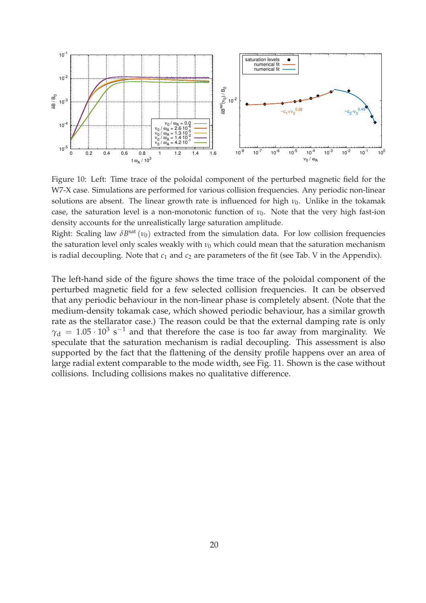

Figure 10: Left: Time trace of the poloidal component of the perturbed magnetic field for the W7-X case. Simulations are performed for various collision frequencies. Any periodic non-linear solutions are absent. The linear growth rate is influenced for high  $\nu_0$ . Unlike in the tokamak case, the saturation level is a non-monotonic function of  $v_0$ . Note that the very high fast-ion density accounts for the unrealistically large saturation amplitude.

Right: Scaling law δB<sup>sat</sup> (*ν*<sub>0</sub>) extracted from the simulation data. For low collision frequencies the saturation level only scales weakly with  $v_0$  which could mean that the saturation mechanism is radial decoupling. Note that  $c_1$  and  $c_2$  are parameters of the fit (see Tab. V in the Appendix).

The left-hand side of the figure shows the time trace of the poloidal component of the perturbed magnetic field for a few selected collision frequencies. It can be observed that any periodic behaviour in the non-linear phase is completely absent. (Note that the medium-density tokamak case, which showed periodic behaviour, has a similar growth rate as the stellarator case.) The reason could be that the external damping rate is only  $\gamma_d = 1.05 \cdot 10^3 \text{ s}^{-1}$  and that therefore the case is too far away from marginality. We speculate that the saturation mechanism is radial decoupling. This assessment is also supported by the fact that the flattening of the density profile happens over an area of large radial extent comparable to the mode width, see Fig. 11. Shown is the case without collisions. Including collisions makes no qualitative difference.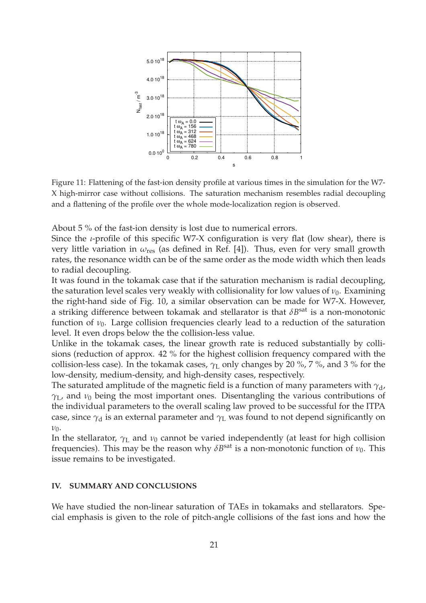

Figure 11: Flattening of the fast-ion density profile at various times in the simulation for the W7- X high-mirror case without collisions. The saturation mechanism resembles radial decoupling and a flattening of the profile over the whole mode-localization region is observed.

About 5 % of the fast-ion density is lost due to numerical errors.

Since the *ι*-profile of this specific W7-X configuration is very flat (low shear), there is very little variation in *ω*res (as defined in Ref. [4]). Thus, even for very small growth rates, the resonance width can be of the same order as the mode width which then leads to radial decoupling.

It was found in the tokamak case that if the saturation mechanism is radial decoupling, the saturation level scales very weakly with collisionality for low values of  $v_0$ . Examining the right-hand side of Fig. 10, a similar observation can be made for W7-X. However, a striking difference between tokamak and stellarator is that  $δB<sup>sat</sup>$  is a non-monotonic function of  $\nu_0$ . Large collision frequencies clearly lead to a reduction of the saturation level. It even drops below the the collision-less value.

Unlike in the tokamak cases, the linear growth rate is reduced substantially by collisions (reduction of approx. 42 % for the highest collision frequency compared with the collision-less case). In the tokamak cases,  $\gamma$ <sub>L</sub> only changes by 20 %, 7 %, and 3 % for the low-density, medium-density, and high-density cases, respectively.

The saturated amplitude of the magnetic field is a function of many parameters with  $\gamma_d$ ,  $\gamma_L$ , and  $\nu_0$  being the most important ones. Disentangling the various contributions of the individual parameters to the overall scaling law proved to be successful for the ITPA case, since  $\gamma_d$  is an external parameter and  $\gamma_L$  was found to not depend significantly on  $\nu_{0}$ .

In the stellarator,  $\gamma_L$  and  $\nu_0$  cannot be varied independently (at least for high collision frequencies). This may be the reason why *δB*<sup>sat</sup> is a non-monotonic function of *ν*<sub>0</sub>. This issue remains to be investigated.

# **IV. SUMMARY AND CONCLUSIONS**

We have studied the non-linear saturation of TAEs in tokamaks and stellarators. Special emphasis is given to the role of pitch-angle collisions of the fast ions and how the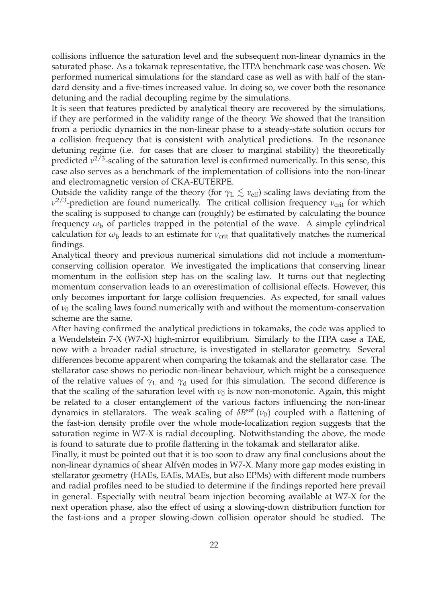collisions influence the saturation level and the subsequent non-linear dynamics in the saturated phase. As a tokamak representative, the ITPA benchmark case was chosen. We performed numerical simulations for the standard case as well as with half of the standard density and a five-times increased value. In doing so, we cover both the resonance detuning and the radial decoupling regime by the simulations.

It is seen that features predicted by analytical theory are recovered by the simulations, if they are performed in the validity range of the theory. We showed that the transition from a periodic dynamics in the non-linear phase to a steady-state solution occurs for a collision frequency that is consistent with analytical predictions. In the resonance detuning regime (i.e. for cases that are closer to marginal stability) the theoretically predicted *ν* 2/3-scaling of the saturation level is confirmed numerically. In this sense, this case also serves as a benchmark of the implementation of collisions into the non-linear and electromagnetic version of CKA-EUTERPE.

Outside the validity range of the theory (for  $\gamma_L \lesssim \nu_{\text{eff}}$ ) scaling laws deviating from the *ν*<sup>2/3</sup>-prediction are found numerically. The critical collision frequency *ν*<sub>crit</sub> for which the scaling is supposed to change can (roughly) be estimated by calculating the bounce frequency  $\omega_{\rm b}$  of particles trapped in the potential of the wave. A simple cylindrical calculation for  $\omega_{\rm b}$  leads to an estimate for  $\nu_{\rm crit}$  that qualitatively matches the numerical findings.

Analytical theory and previous numerical simulations did not include a momentumconserving collision operator. We investigated the implications that conserving linear momentum in the collision step has on the scaling law. It turns out that neglecting momentum conservation leads to an overestimation of collisional effects. However, this only becomes important for large collision frequencies. As expected, for small values of  $\nu_0$  the scaling laws found numerically with and without the momentum-conservation scheme are the same.

After having confirmed the analytical predictions in tokamaks, the code was applied to a Wendelstein 7-X (W7-X) high-mirror equilibrium. Similarly to the ITPA case a TAE, now with a broader radial structure, is investigated in stellarator geometry. Several differences become apparent when comparing the tokamak and the stellarator case. The stellarator case shows no periodic non-linear behaviour, which might be a consequence of the relative values of  $\gamma_L$  and  $\gamma_d$  used for this simulation. The second difference is that the scaling of the saturation level with  $\nu_0$  is now non-monotonic. Again, this might be related to a closer entanglement of the various factors influencing the non-linear dynamics in stellarators. The weak scaling of *δB* sat (*ν*0) coupled with a flattening of the fast-ion density profile over the whole mode-localization region suggests that the saturation regime in W7-X is radial decoupling. Notwithstanding the above, the mode is found to saturate due to profile flattening in the tokamak and stellarator alike.

Finally, it must be pointed out that it is too soon to draw any final conclusions about the non-linear dynamics of shear Alfvén modes in W7-X. Many more gap modes existing in stellarator geometry (HAEs, EAEs, MAEs, but also EPMs) with different mode numbers and radial profiles need to be studied to determine if the findings reported here prevail in general. Especially with neutral beam injection becoming available at W7-X for the next operation phase, also the effect of using a slowing-down distribution function for the fast-ions and a proper slowing-down collision operator should be studied. The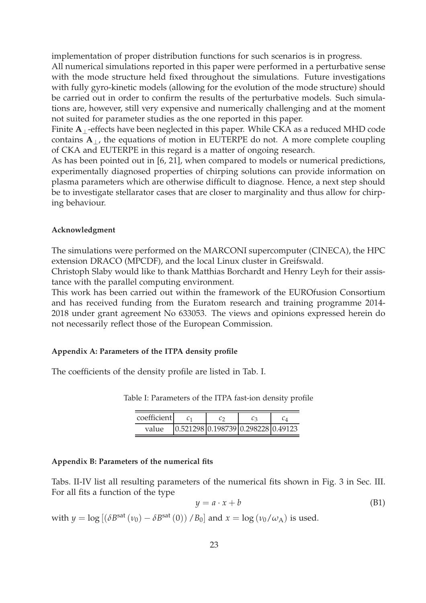implementation of proper distribution functions for such scenarios is in progress.

All numerical simulations reported in this paper were performed in a perturbative sense with the mode structure held fixed throughout the simulations. Future investigations with fully gyro-kinetic models (allowing for the evolution of the mode structure) should be carried out in order to confirm the results of the perturbative models. Such simulations are, however, still very expensive and numerically challenging and at the moment not suited for parameter studies as the one reported in this paper.

Finite **A**⊥-effects have been neglected in this paper. While CKA as a reduced MHD code contains **A**⊥, the equations of motion in EUTERPE do not. A more complete coupling of CKA and EUTERPE in this regard is a matter of ongoing research.

As has been pointed out in [6, 21], when compared to models or numerical predictions, experimentally diagnosed properties of chirping solutions can provide information on plasma parameters which are otherwise difficult to diagnose. Hence, a next step should be to investigate stellarator cases that are closer to marginality and thus allow for chirping behaviour.

# **Acknowledgment**

The simulations were performed on the MARCONI supercomputer (CINECA), the HPC extension DRACO (MPCDF), and the local Linux cluster in Greifswald.

Christoph Slaby would like to thank Matthias Borchardt and Henry Leyh for their assistance with the parallel computing environment.

This work has been carried out within the framework of the EUROfusion Consortium and has received funding from the Euratom research and training programme 2014- 2018 under grant agreement No 633053. The views and opinions expressed herein do not necessarily reflect those of the European Commission.

# **Appendix A: Parameters of the ITPA density profile**

The coefficients of the density profile are listed in Tab. I.

| coefficient |                                    |  |  |
|-------------|------------------------------------|--|--|
| value       | 0.521298 0.198739 0.298228 0.49123 |  |  |

# **Appendix B: Parameters of the numerical fits**

Tabs. II-IV list all resulting parameters of the numerical fits shown in Fig. 3 in Sec. III. For all fits a function of the type

$$
y = a \cdot x + b \tag{B1}
$$

with  $y = \log \left[ \left( \delta B^{\text{sat}} \left( v_0 \right) - \delta B^{\text{sat}} \left( 0 \right) \right) / B_0 \right]$  and  $x = \log \left( v_0 / \omega_A \right)$  is used.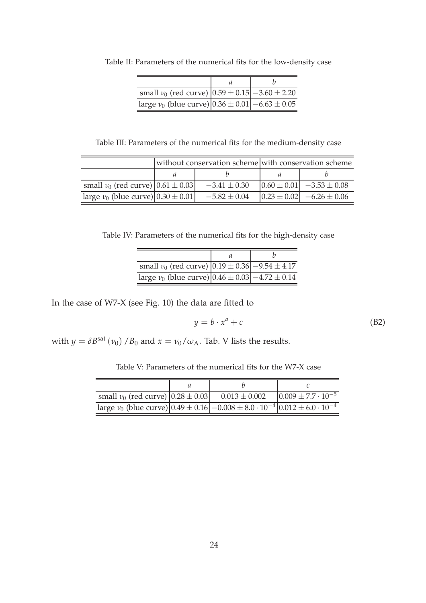| small $v_0$ (red curve) $ 0.59 \pm 0.15 $ - 3.60 $\pm$ 2.20               |  |
|---------------------------------------------------------------------------|--|
| large $\nu_0$ (blue curve) $\left  0.36 \pm 0.01 \right  - 6.63 \pm 0.05$ |  |

Table II: Parameters of the numerical fits for the low-density case

Table III: Parameters of the numerical fits for the medium-density case

|                                              | without conservation scheme with conservation scheme |                  |  |                                                                |
|----------------------------------------------|------------------------------------------------------|------------------|--|----------------------------------------------------------------|
|                                              |                                                      |                  |  |                                                                |
| small $\nu_0$ (red curve) $ 0.61 \pm 0.03 $  |                                                      | $-3.41 \pm 0.30$ |  | $\begin{array}{ l} 0.60 \pm 0.01 & -3.53 \pm 0.08 \end{array}$ |
| large $\nu_0$ (blue curve) $ 0.30 \pm 0.01 $ |                                                      | $-5.82 \pm 0.04$ |  | $ 0.23 \pm 0.02 $ -6.26 $\pm 0.06$                             |

Table IV: Parameters of the numerical fits for the high-density case

| small $\nu_0$ (red curve) $ 0.19 \pm 0.36  -9.54 \pm 4.17$                |  |
|---------------------------------------------------------------------------|--|
| large $\nu_0$ (blue curve) $\left  0.46 \pm 0.03 \right  - 4.72 \pm 0.14$ |  |

In the case of W7-X (see Fig. 10) the data are fitted to

$$
y = b \cdot x^a + c \tag{B2}
$$

with  $y = \delta B^{\text{sat}}(\nu_0) / B_0$  and  $x = \nu_0 / \omega_A$ . Tab. V lists the results.

Table V: Parameters of the numerical fits for the W7-X case

| small $\nu_0$ (red curve) $ 0.28 \pm 0.03 $                                                                                      | $0.013\pm0.002$ | $0.009 \pm 7.7 \cdot 10^{-5}$ |
|----------------------------------------------------------------------------------------------------------------------------------|-----------------|-------------------------------|
| large $v_0$ (blue curve) $\left  0.49 \pm 0.16 \right  - 0.008 \pm 8.0 \cdot 10^{-4} \left  0.012 \pm 6.0 \cdot 10^{-4} \right $ |                 |                               |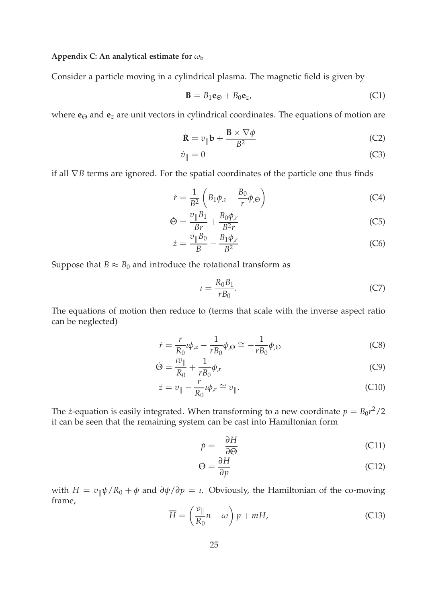# **Appendix C: An analytical estimate for**  $\omega_{\rm b}$

Consider a particle moving in a cylindrical plasma. The magnetic field is given by

$$
\mathbf{B} = B_1 \mathbf{e}_{\Theta} + B_0 \mathbf{e}_z, \tag{C1}
$$

where  $e_{\Theta}$  and  $e_z$  are unit vectors in cylindrical coordinates. The equations of motion are

$$
\dot{\mathbf{R}} = v_{\parallel} \mathbf{b} + \frac{\mathbf{B} \times \nabla \phi}{B^2}
$$
 (C2)

$$
\dot{v}_{\parallel} = 0 \tag{C3}
$$

if all ∇*B* terms are ignored. For the spatial coordinates of the particle one thus finds

$$
\dot{r} = \frac{1}{B^2} \left( B_1 \phi_{,z} - \frac{B_0}{r} \phi_{,0} \right) \tag{C4}
$$

$$
\dot{\Theta} = \frac{v_{\parallel} B_1}{Br} + \frac{B_0 \phi_{,r}}{B^2 r} \tag{C5}
$$

$$
\dot{z} = \frac{v_{\parallel} B_0}{B} - \frac{B_1 \phi_{,r}}{B^2} \tag{C6}
$$

Suppose that  $B \approx B_0$  and introduce the rotational transform as

$$
u = \frac{R_0 B_1}{r B_0}.\tag{C7}
$$

The equations of motion then reduce to (terms that scale with the inverse aspect ratio can be neglected)

$$
\dot{r} = \frac{r}{R_0} \iota \phi_{,z} - \frac{1}{r B_0} \phi_{,\Theta} \cong -\frac{1}{r B_0} \phi_{,\Theta}
$$
 (C8)

$$
\dot{\Theta} = \frac{\iota v_{\parallel}}{R_0} + \frac{1}{r B_0} \phi_{,r} \tag{C9}
$$

$$
\dot{z} = v_{\parallel} - \frac{r}{R_0} \iota \phi_{,r} \cong v_{\parallel}. \tag{C10}
$$

The *ż*-equation is easily integrated. When transforming to a new coordinate  $p = B_0 r^2 / 2$ it can be seen that the remaining system can be cast into Hamiltonian form

$$
\dot{p} = -\frac{\partial H}{\partial \Theta} \tag{C11}
$$

$$
\dot{\Theta} = \frac{\partial H}{\partial p} \tag{C12}
$$

with  $H = v_{\parallel} \psi / R_0 + \phi$  and  $\partial \psi / \partial p = \iota$ . Obviously, the Hamiltonian of the co-moving frame,

$$
\overline{H} = \left(\frac{v_{\parallel}}{R_0}n - \omega\right)p + mH,
$$
\n(C13)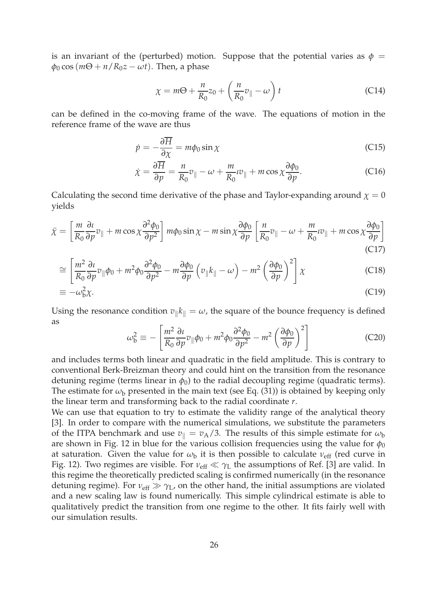is an invariant of the (perturbed) motion. Suppose that the potential varies as  $\phi$  =  $\phi_0$  cos (*m* $\Theta$  + *n*/*R*<sub>0</sub>*z* − *ωt*). Then, a phase

$$
\chi = m\Theta + \frac{n}{R_0}z_0 + \left(\frac{n}{R_0}v_{\parallel} - \omega\right)t
$$
\n(C14)

can be defined in the co-moving frame of the wave. The equations of motion in the reference frame of the wave are thus

$$
\dot{p} = -\frac{\partial \overline{H}}{\partial \chi} = m\phi_0 \sin \chi \tag{C15}
$$

$$
\dot{\chi} = \frac{\partial \overline{H}}{\partial p} = \frac{n}{R_0} v_{\parallel} - \omega + \frac{m}{R_0} v_{\parallel} + m \cos \chi \frac{\partial \phi_0}{\partial p}.
$$
 (C16)

Calculating the second time derivative of the phase and Taylor-expanding around  $\chi = 0$ yields

$$
\ddot{\chi} = \left[ \frac{m}{R_0} \frac{\partial \iota}{\partial p} v_{\parallel} + m \cos \chi \frac{\partial^2 \phi_0}{\partial p^2} \right] m \phi_0 \sin \chi - m \sin \chi \frac{\partial \phi_0}{\partial p} \left[ \frac{n}{R_0} v_{\parallel} - \omega + \frac{m}{R_0} v_{\parallel} + m \cos \chi \frac{\partial \phi_0}{\partial p} \right]
$$
(C17)

$$
\cong \left[ \frac{m^2}{R_0} \frac{\partial \iota}{\partial p} v_{\parallel} \phi_0 + m^2 \phi_0 \frac{\partial^2 \phi_0}{\partial p^2} - m \frac{\partial \phi_0}{\partial p} \left( v_{\parallel} k_{\parallel} - \omega \right) - m^2 \left( \frac{\partial \phi_0}{\partial p} \right)^2 \right] \chi \tag{C18}
$$
\n
$$
\equiv -\omega_{\rm b}^2 \chi. \tag{C19}
$$

Using the resonance condition 
$$
v_{\parallel}k_{\parallel} = \omega
$$
, the square of the bounce frequency is defined

as

*m*2

$$
\omega_{\rm b}^2 \equiv -\left[\frac{m^2}{R_0}\frac{\partial \iota}{\partial p}v_{\parallel}\phi_0 + m^2\phi_0\frac{\partial^2 \phi_0}{\partial p^2} - m^2\left(\frac{\partial \phi_0}{\partial p}\right)^2\right]
$$
(C20)

and includes terms both linear and quadratic in the field amplitude. This is contrary to conventional Berk-Breizman theory and could hint on the transition from the resonance detuning regime (terms linear in  $\phi_0$ ) to the radial decoupling regime (quadratic terms). The estimate for  $\omega_{\rm b}$  presented in the main text (see Eq. (31)) is obtained by keeping only the linear term and transforming back to the radial coordinate *r*.

We can use that equation to try to estimate the validity range of the analytical theory [3]. In order to compare with the numerical simulations, we substitute the parameters of the ITPA benchmark and use  $v_{\parallel} = v_A/3$ . The results of this simple estimate for  $\omega_b$ are shown in Fig. 12 in blue for the various collision frequencies using the value for  $\phi_0$ at saturation. Given the value for  $\omega_{\rm b}$  it is then possible to calculate  $\nu_{\rm eff}$  (red curve in Fig. 12). Two regimes are visible. For *ν*<sub>eff</sub> ≪ γ<sub>L</sub> the assumptions of Ref. [3] are valid. In this regime the theoretically predicted scaling is confirmed numerically (in the resonance detuning regime). For  $\nu_{\text{eff}} \gg \gamma_L$ , on the other hand, the initial assumptions are violated and a new scaling law is found numerically. This simple cylindrical estimate is able to qualitatively predict the transition from one regime to the other. It fits fairly well with our simulation results.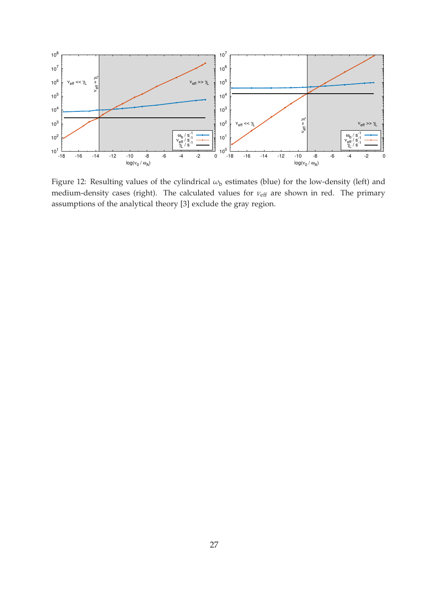

Figure 12: Resulting values of the cylindrical  $ω<sub>b</sub>$  estimates (blue) for the low-density (left) and medium-density cases (right). The calculated values for *v*<sub>eff</sub> are shown in red. The primary assumptions of the analytical theory [3] exclude the gray region.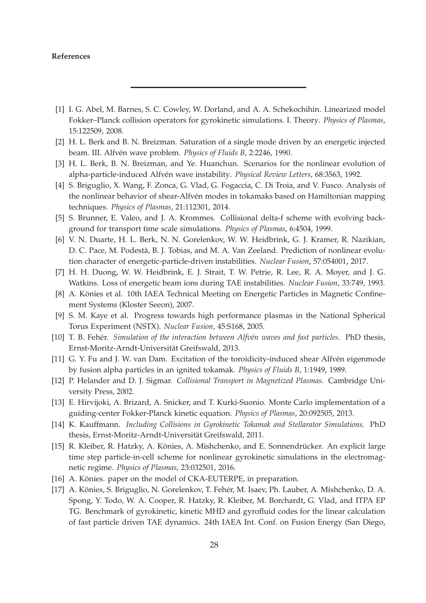#### **References**

- [1] I. G. Abel, M. Barnes, S. C. Cowley, W. Dorland, and A. A. Schekochihin. Linearized model Fokker–Planck collision operators for gyrokinetic simulations. I. Theory. *Physics of Plasmas*, 15:122509, 2008.
- [2] H. L. Berk and B. N. Breizman. Saturation of a single mode driven by an energetic injected beam. III. Alfvén wave problem. *Physics of Fluids B*, 2:2246, 1990.
- [3] H. L. Berk, B. N. Breizman, and Ye. Huanchun. Scenarios for the nonlinear evolution of alpha-particle-induced Alfvén wave instability. *Physical Review Letters*, 68:3563, 1992.
- [4] S. Briguglio, X. Wang, F. Zonca, G. Vlad, G. Fogaccia, C. Di Troia, and V. Fusco. Analysis of the nonlinear behavior of shear-Alfvén modes in tokamaks based on Hamiltonian mapping techniques. *Physics of Plasmas*, 21:112301, 2014.
- [5] S. Brunner, E. Valeo, and J. A. Krommes. Collisional delta-f scheme with evolving background for transport time scale simulations. *Physics of Plasmas*, 6:4504, 1999.
- [6] V. N. Duarte, H. L. Berk, N. N. Gorelenkov, W. W. Heidbrink, G. J. Kramer, R. Nazikian, D. C. Pace, M. Podestà, B. J. Tobias, and M. A. Van Zeeland. Prediction of nonlinear evolution character of energetic-particle-driven instabilities. *Nuclear Fusion*, 57:054001, 2017.
- [7] H. H. Duong, W. W. Heidbrink, E. J. Strait, T. W. Petrie, R. Lee, R. A. Moyer, and J. G. Watkins. Loss of energetic beam ions during TAE instabilities. *Nuclear Fusion*, 33:749, 1993.
- [8] A. Könies et al. 10th IAEA Technical Meeting on Energetic Particles in Magnetic Confinement Systems (Kloster Seeon), 2007.
- [9] S. M. Kaye et al. Progress towards high performance plasmas in the National Spherical Torus Experiment (NSTX). *Nuclear Fusion*, 45:S168, 2005.
- [10] T. B. Fehér. *Simulation of the interaction between Alfvén waves and fast particles*. PhD thesis, Ernst-Moritz-Arndt-Universität Greifswald, 2013.
- [11] G. Y. Fu and J. W. van Dam. Excitation of the toroidicity-induced shear Alfvén eigenmode by fusion alpha particles in an ignited tokamak. *Physics of Fluids B*, 1:1949, 1989.
- [12] P. Helander and D. J. Sigmar. *Collisional Transport in Magnetized Plasmas*. Cambridge University Press, 2002.
- [13] E. Hirvijoki, A. Brizard, A. Snicker, and T. Kurki-Suonio. Monte Carlo implementation of a guiding-center Fokker-Planck kinetic equation. *Physics of Plasmas*, 20:092505, 2013.
- [14] K. Kauffmann. *Including Collisions in Gyrokinetic Tokamak and Stellarator Simulations*. PhD thesis, Ernst-Moritz-Arndt-Universität Greifswald, 2011.
- [15] R. Kleiber, R. Hatzky, A. Könies, A. Mishchenko, and E. Sonnendrücker. An explicit large time step particle-in-cell scheme for nonlinear gyrokinetic simulations in the electromagnetic regime. *Physics of Plasmas*, 23:032501, 2016.
- [16] A. Könies. paper on the model of CKA-EUTERPE, in preparation.
- [17] A. Könies, S. Briguglio, N. Gorelenkov, T. Fehér, M. Isaev, Ph. Lauber, A. Mishchenko, D. A. Spong, Y. Todo, W. A. Cooper, R. Hatzky, R. Kleiber, M. Borchardt, G. Vlad, and ITPA EP TG. Benchmark of gyrokinetic, kinetic MHD and gyrofluid codes for the linear calculation of fast particle driven TAE dynamics. 24th IAEA Int. Conf. on Fusion Energy (San Diego,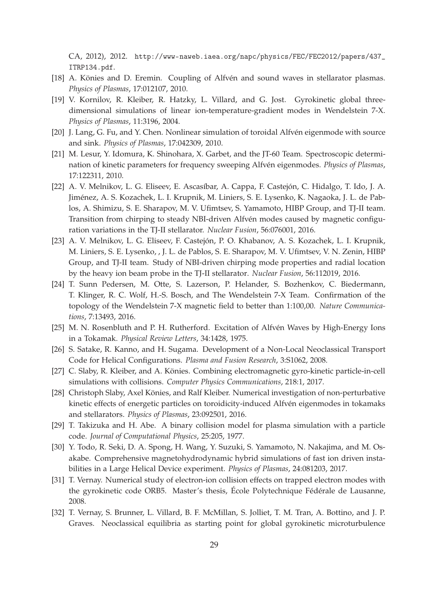CA, 2012), 2012. http://www-naweb.iaea.org/napc/physics/FEC/FEC2012/papers/437\_ ITRP134.pdf.

- [18] A. Könies and D. Eremin. Coupling of Alfvén and sound waves in stellarator plasmas. *Physics of Plasmas*, 17:012107, 2010.
- [19] V. Kornilov, R. Kleiber, R. Hatzky, L. Villard, and G. Jost. Gyrokinetic global threedimensional simulations of linear ion-temperature-gradient modes in Wendelstein 7-X. *Physics of Plasmas*, 11:3196, 2004.
- [20] J. Lang, G. Fu, and Y. Chen. Nonlinear simulation of toroidal Alfvén eigenmode with source and sink. *Physics of Plasmas*, 17:042309, 2010.
- [21] M. Lesur, Y. Idomura, K. Shinohara, X. Garbet, and the JT-60 Team. Spectroscopic determination of kinetic parameters for frequency sweeping Alfvén eigenmodes. *Physics of Plasmas*, 17:122311, 2010.
- [22] A. V. Melnikov, L. G. Eliseev, E. Ascasíbar, A. Cappa, F. Castejón, C. Hidalgo, T. Ido, J. A. Jiménez, A. S. Kozachek, L. I. Krupnik, M. Liniers, S. E. Lysenko, K. Nagaoka, J. L. de Pablos, A. Shimizu, S. E. Sharapov, M. V. Ufimtsev, S. Yamamoto, HIBP Group, and TJ-II team. Transition from chirping to steady NBI-driven Alfvén modes caused by magnetic configuration variations in the TJ-II stellarator. *Nuclear Fusion*, 56:076001, 2016.
- [23] A. V. Melnikov, L. G. Eliseev, F. Castejón, P. O. Khabanov, A. S. Kozachek, L. I. Krupnik, M. Liniers, S. E. Lysenko, , J. L. de Pablos, S. E. Sharapov, M. V. Ufimtsev, V. N. Zenin, HIBP Group, and TJ-II team. Study of NBI-driven chirping mode properties and radial location by the heavy ion beam probe in the TJ-II stellarator. *Nuclear Fusion*, 56:112019, 2016.
- [24] T. Sunn Pedersen, M. Otte, S. Lazerson, P. Helander, S. Bozhenkov, C. Biedermann, T. Klinger, R. C. Wolf, H.-S. Bosch, and The Wendelstein 7-X Team. Confirmation of the topology of the Wendelstein 7-X magnetic field to better than 1:100,00. *Nature Communications*, 7:13493, 2016.
- [25] M. N. Rosenbluth and P. H. Rutherford. Excitation of Alfvén Waves by High-Energy Ions in a Tokamak. *Physical Review Letters*, 34:1428, 1975.
- [26] S. Satake, R. Kanno, and H. Sugama. Development of a Non-Local Neoclassical Transport Code for Helical Configurations. *Plasma and Fusion Research*, 3:S1062, 2008.
- [27] C. Slaby, R. Kleiber, and A. Könies. Combining electromagnetic gyro-kinetic particle-in-cell simulations with collisions. *Computer Physics Communications*, 218:1, 2017.
- [28] Christoph Slaby, Axel Könies, and Ralf Kleiber. Numerical investigation of non-perturbative kinetic effects of energetic particles on toroidicity-induced Alfvén eigenmodes in tokamaks and stellarators. *Physics of Plasmas*, 23:092501, 2016.
- [29] T. Takizuka and H. Abe. A binary collision model for plasma simulation with a particle code. *Journal of Computational Physics*, 25:205, 1977.
- [30] Y. Todo, R. Seki, D. A. Spong, H. Wang, Y. Suzuki, S. Yamamoto, N. Nakajima, and M. Osakabe. Comprehensive magnetohydrodynamic hybrid simulations of fast ion driven instabilities in a Large Helical Device experiment. *Physics of Plasmas*, 24:081203, 2017.
- [31] T. Vernay. Numerical study of electron-ion collision effects on trapped electron modes with the gyrokinetic code ORB5. Master's thesis, École Polytechnique Fédérale de Lausanne, 2008.
- [32] T. Vernay, S. Brunner, L. Villard, B. F. McMillan, S. Jolliet, T. M. Tran, A. Bottino, and J. P. Graves. Neoclassical equilibria as starting point for global gyrokinetic microturbulence